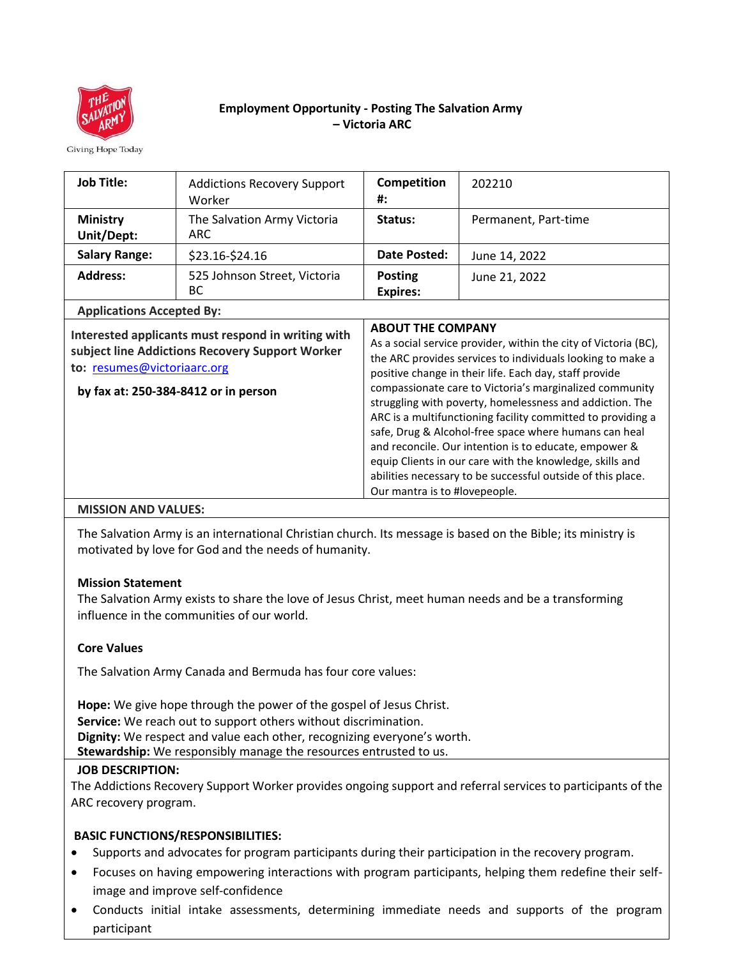

# **Employment Opportunity - Posting The Salvation Army – Victoria ARC**

Giving Hope Today

| <b>Job Title:</b>                                                                                                                                                            | <b>Addictions Recovery Support</b><br>Worker | Competition<br>#:                                                                                                                                                                                                                                                                                                                                                                                                                                                                                                                                                                                                                                                                       | 202210               |
|------------------------------------------------------------------------------------------------------------------------------------------------------------------------------|----------------------------------------------|-----------------------------------------------------------------------------------------------------------------------------------------------------------------------------------------------------------------------------------------------------------------------------------------------------------------------------------------------------------------------------------------------------------------------------------------------------------------------------------------------------------------------------------------------------------------------------------------------------------------------------------------------------------------------------------------|----------------------|
| <b>Ministry</b><br>Unit/Dept:                                                                                                                                                | The Salvation Army Victoria<br><b>ARC</b>    | Status:                                                                                                                                                                                                                                                                                                                                                                                                                                                                                                                                                                                                                                                                                 | Permanent, Part-time |
| <b>Salary Range:</b>                                                                                                                                                         | \$23.16-\$24.16                              | Date Posted:                                                                                                                                                                                                                                                                                                                                                                                                                                                                                                                                                                                                                                                                            | June 14, 2022        |
| <b>Address:</b>                                                                                                                                                              | 525 Johnson Street, Victoria<br><b>BC</b>    | <b>Posting</b><br><b>Expires:</b>                                                                                                                                                                                                                                                                                                                                                                                                                                                                                                                                                                                                                                                       | June 21, 2022        |
| <b>Applications Accepted By:</b>                                                                                                                                             |                                              |                                                                                                                                                                                                                                                                                                                                                                                                                                                                                                                                                                                                                                                                                         |                      |
| Interested applicants must respond in writing with<br>subject line Addictions Recovery Support Worker<br>to: resumes@victoriaarc.org<br>by fax at: 250-384-8412 or in person |                                              | <b>ABOUT THE COMPANY</b><br>As a social service provider, within the city of Victoria (BC),<br>the ARC provides services to individuals looking to make a<br>positive change in their life. Each day, staff provide<br>compassionate care to Victoria's marginalized community<br>struggling with poverty, homelessness and addiction. The<br>ARC is a multifunctioning facility committed to providing a<br>safe, Drug & Alcohol-free space where humans can heal<br>and reconcile. Our intention is to educate, empower &<br>equip Clients in our care with the knowledge, skills and<br>abilities necessary to be successful outside of this place.<br>Our mantra is to #lovepeople. |                      |
| <b>MISSION AND VALUES:</b>                                                                                                                                                   |                                              |                                                                                                                                                                                                                                                                                                                                                                                                                                                                                                                                                                                                                                                                                         |                      |

The Salvation Army is an international Christian church. Its message is based on the Bible; its ministry is motivated by love for God and the needs of humanity.

### **Mission Statement**

The Salvation Army exists to share the love of Jesus Christ, meet human needs and be a transforming influence in the communities of our world.

# **Core Values**

The Salvation Army Canada and Bermuda has four core values:

**Hope:** We give hope through the power of the gospel of Jesus Christ. **Service:** We reach out to support others without discrimination. **Dignity:** We respect and value each other, recognizing everyone's worth. **Stewardship:** We responsibly manage the resources entrusted to us.

### **JOB DESCRIPTION:**

The Addictions Recovery Support Worker provides ongoing support and referral services to participants of the ARC recovery program.

### **BASIC FUNCTIONS/RESPONSIBILITIES:**

- Supports and advocates for program participants during their participation in the recovery program.
- Focuses on having empowering interactions with program participants, helping them redefine their selfimage and improve self-confidence
- Conducts initial intake assessments, determining immediate needs and supports of the program participant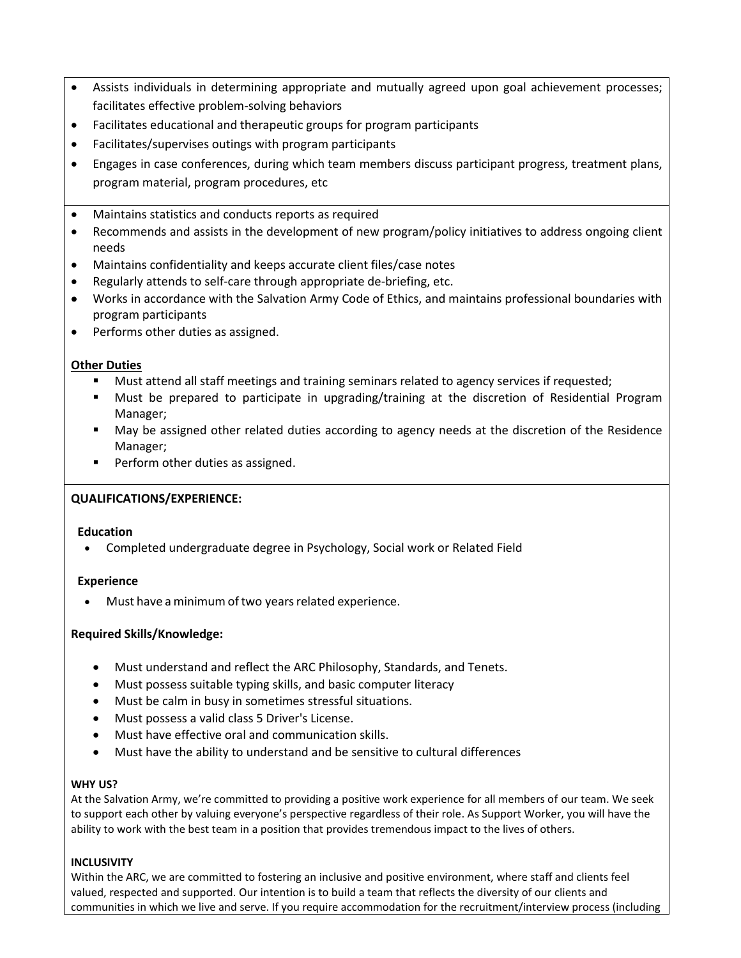- Assists individuals in determining appropriate and mutually agreed upon goal achievement processes; facilitates effective problem-solving behaviors
- Facilitates educational and therapeutic groups for program participants
- Facilitates/supervises outings with program participants
- Engages in case conferences, during which team members discuss participant progress, treatment plans, program material, program procedures, etc
- Maintains statistics and conducts reports as required
- Recommends and assists in the development of new program/policy initiatives to address ongoing client needs
- Maintains confidentiality and keeps accurate client files/case notes
- Regularly attends to self-care through appropriate de-briefing, etc.
- Works in accordance with the Salvation Army Code of Ethics, and maintains professional boundaries with program participants
- Performs other duties as assigned.

### **Other Duties**

- Must attend all staff meetings and training seminars related to agency services if requested;
- Must be prepared to participate in upgrading/training at the discretion of Residential Program Manager;
- May be assigned other related duties according to agency needs at the discretion of the Residence Manager;
- Perform other duties as assigned.

# **QUALIFICATIONS/EXPERIENCE:**

### **Education**

• Completed undergraduate degree in Psychology, Social work or Related Field

### **Experience**

Must have a minimum of two years related experience.

### **Required Skills/Knowledge:**

- Must understand and reflect the ARC Philosophy, Standards, and Tenets.
- Must possess suitable typing skills, and basic computer literacy
- Must be calm in busy in sometimes stressful situations.
- Must possess a valid class 5 Driver's License.
- Must have effective oral and communication skills.
- Must have the ability to understand and be sensitive to cultural differences

### **WHY US?**

At the Salvation Army, we're committed to providing a positive work experience for all members of our team. We seek to support each other by valuing everyone's perspective regardless of their role. As Support Worker, you will have the ability to work with the best team in a position that provides tremendous impact to the lives of others.

### **INCLUSIVITY**

Within the ARC, we are committed to fostering an inclusive and positive environment, where staff and clients feel valued, respected and supported. Our intention is to build a team that reflects the diversity of our clients and communities in which we live and serve. If you require accommodation for the recruitment/interview process (including